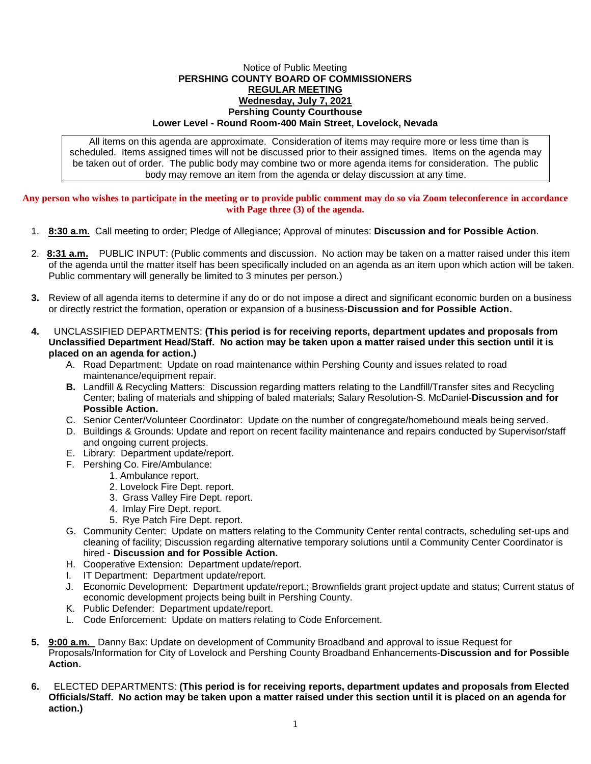## Notice of Public Meeting **PERSHING COUNTY BOARD OF COMMISSIONERS REGULAR MEETING Wednesday, July 7, 2021 Pershing County Courthouse Lower Level - Round Room-400 Main Street, Lovelock, Nevada**

All items on this agenda are approximate. Consideration of items may require more or less time than is scheduled. Items assigned times will not be discussed prior to their assigned times. Items on the agenda may be taken out of order. The public body may combine two or more agenda items for consideration. The public body may remove an item from the agenda or delay discussion at any time.

**Any person who wishes to participate in the meeting or to provide public comment may do so via Zoom teleconference in accordance with Page three (3) of the agenda.**

- 1. **8:30 a.m.** Call meeting to order; Pledge of Allegiance; Approval of minutes: **Discussion and for Possible Action**.
- 2. **8:31 a.m.** PUBLIC INPUT: (Public comments and discussion. No action may be taken on a matter raised under this item of the agenda until the matter itself has been specifically included on an agenda as an item upon which action will be taken. Public commentary will generally be limited to 3 minutes per person.)
- **3.** Review of all agenda items to determine if any do or do not impose a direct and significant economic burden on a business or directly restrict the formation, operation or expansion of a business-**Discussion and for Possible Action.**
- **4.** UNCLASSIFIED DEPARTMENTS: **(This period is for receiving reports, department updates and proposals from Unclassified Department Head/Staff. No action may be taken upon a matter raised under this section until it is placed on an agenda for action.)**
	- A. Road Department: Update on road maintenance within Pershing County and issues related to road maintenance/equipment repair.
	- **B.** Landfill & Recycling Matters: Discussion regarding matters relating to the Landfill/Transfer sites and Recycling Center; baling of materials and shipping of baled materials; Salary Resolution-S. McDaniel-**Discussion and for Possible Action.**
	- C. Senior Center/Volunteer Coordinator: Update on the number of congregate/homebound meals being served.
	- D. Buildings & Grounds: Update and report on recent facility maintenance and repairs conducted by Supervisor/staff and ongoing current projects.
	- E. Library: Department update/report.
	- F. Pershing Co. Fire/Ambulance:
		- 1. Ambulance report.
		- 2. Lovelock Fire Dept. report.
		- 3. Grass Valley Fire Dept. report.
		- 4. Imlay Fire Dept. report.
		- 5. Rye Patch Fire Dept. report.
	- G. Community Center: Update on matters relating to the Community Center rental contracts, scheduling set-ups and cleaning of facility; Discussion regarding alternative temporary solutions until a Community Center Coordinator is hired - **Discussion and for Possible Action.**
	- H. Cooperative Extension: Department update/report.
	- I. IT Department: Department update/report.
	- J. Economic Development: Department update/report.; Brownfields grant project update and status; Current status of economic development projects being built in Pershing County.
	- K. Public Defender: Department update/report.
	- L. Code Enforcement: Update on matters relating to Code Enforcement.
- **5. 9:00 a.m.** Danny Bax: Update on development of Community Broadband and approval to issue Request for Proposals/Information for City of Lovelock and Pershing County Broadband Enhancements-**Discussion and for Possible Action.**
- **6.** ELECTED DEPARTMENTS: **(This period is for receiving reports, department updates and proposals from Elected Officials/Staff. No action may be taken upon a matter raised under this section until it is placed on an agenda for action.)**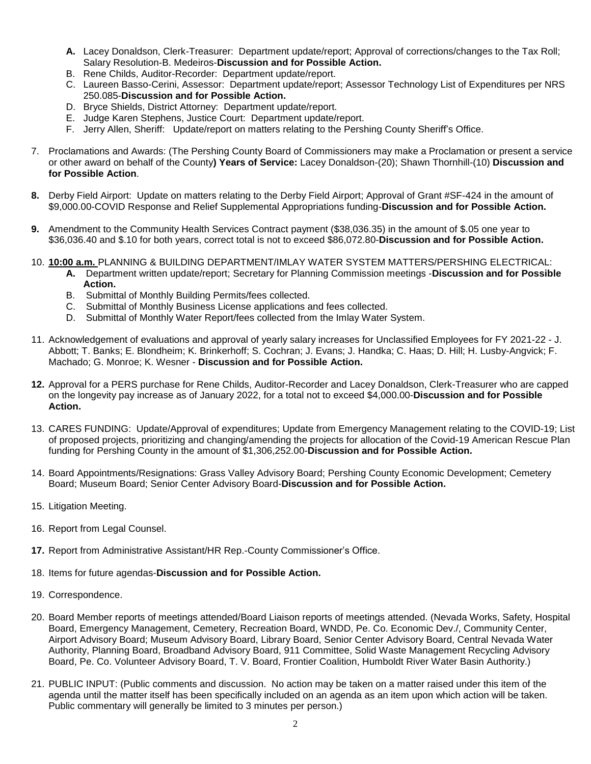- **A.** Lacey Donaldson, Clerk-Treasurer: Department update/report; Approval of corrections/changes to the Tax Roll; Salary Resolution-B. Medeiros-**Discussion and for Possible Action.**
- B. Rene Childs, Auditor-Recorder: Department update/report.
- C. Laureen Basso-Cerini, Assessor: Department update/report; Assessor Technology List of Expenditures per NRS 250.085-**Discussion and for Possible Action.**
- D. Bryce Shields, District Attorney: Department update/report.
- E. Judge Karen Stephens, Justice Court: Department update/report.
- F. Jerry Allen, Sheriff: Update/report on matters relating to the Pershing County Sheriff's Office.
- 7. Proclamations and Awards: (The Pershing County Board of Commissioners may make a Proclamation or present a service or other award on behalf of the County**) Years of Service:** Lacey Donaldson-(20); Shawn Thornhill-(10) **Discussion and for Possible Action**.
- **8.** Derby Field Airport: Update on matters relating to the Derby Field Airport; Approval of Grant #SF-424 in the amount of \$9,000.00-COVID Response and Relief Supplemental Appropriations funding-**Discussion and for Possible Action.**
- **9.** Amendment to the Community Health Services Contract payment (\$38,036.35) in the amount of \$.05 one year to \$36,036.40 and \$.10 for both years, correct total is not to exceed \$86,072.80-**Discussion and for Possible Action.**
- 10. **10:00 a.m.** PLANNING & BUILDING DEPARTMENT/IMLAY WATER SYSTEM MATTERS/PERSHING ELECTRICAL:
	- **A.** Department written update/report; Secretary for Planning Commission meetings -**Discussion and for Possible Action.**
	- B. Submittal of Monthly Building Permits/fees collected.
	- C. Submittal of Monthly Business License applications and fees collected.
	- D. Submittal of Monthly Water Report/fees collected from the Imlay Water System.
- 11. Acknowledgement of evaluations and approval of yearly salary increases for Unclassified Employees for FY 2021-22 J. Abbott; T. Banks; E. Blondheim; K. Brinkerhoff; S. Cochran; J. Evans; J. Handka; C. Haas; D. Hill; H. Lusby-Angvick; F. Machado; G. Monroe; K. Wesner - **Discussion and for Possible Action.**
- **12.** Approval for a PERS purchase for Rene Childs, Auditor-Recorder and Lacey Donaldson, Clerk-Treasurer who are capped on the longevity pay increase as of January 2022, for a total not to exceed \$4,000.00-**Discussion and for Possible Action.**
- 13. CARES FUNDING: Update/Approval of expenditures; Update from Emergency Management relating to the COVID-19; List of proposed projects, prioritizing and changing/amending the projects for allocation of the Covid-19 American Rescue Plan funding for Pershing County in the amount of \$1,306,252.00-**Discussion and for Possible Action.**
- 14. Board Appointments/Resignations: Grass Valley Advisory Board; Pershing County Economic Development; Cemetery Board; Museum Board; Senior Center Advisory Board-**Discussion and for Possible Action.**
- 15. Litigation Meeting.
- 16. Report from Legal Counsel.
- **17.** Report from Administrative Assistant/HR Rep.-County Commissioner's Office.
- 18. Items for future agendas-**Discussion and for Possible Action.**
- 19. Correspondence.
- 20. Board Member reports of meetings attended/Board Liaison reports of meetings attended. (Nevada Works, Safety, Hospital Board, Emergency Management, Cemetery, Recreation Board, WNDD, Pe. Co. Economic Dev./, Community Center, Airport Advisory Board; Museum Advisory Board, Library Board, Senior Center Advisory Board, Central Nevada Water Authority, Planning Board, Broadband Advisory Board, 911 Committee, Solid Waste Management Recycling Advisory Board, Pe. Co. Volunteer Advisory Board, T. V. Board, Frontier Coalition, Humboldt River Water Basin Authority.)
- 21. PUBLIC INPUT: (Public comments and discussion. No action may be taken on a matter raised under this item of the agenda until the matter itself has been specifically included on an agenda as an item upon which action will be taken. Public commentary will generally be limited to 3 minutes per person.)